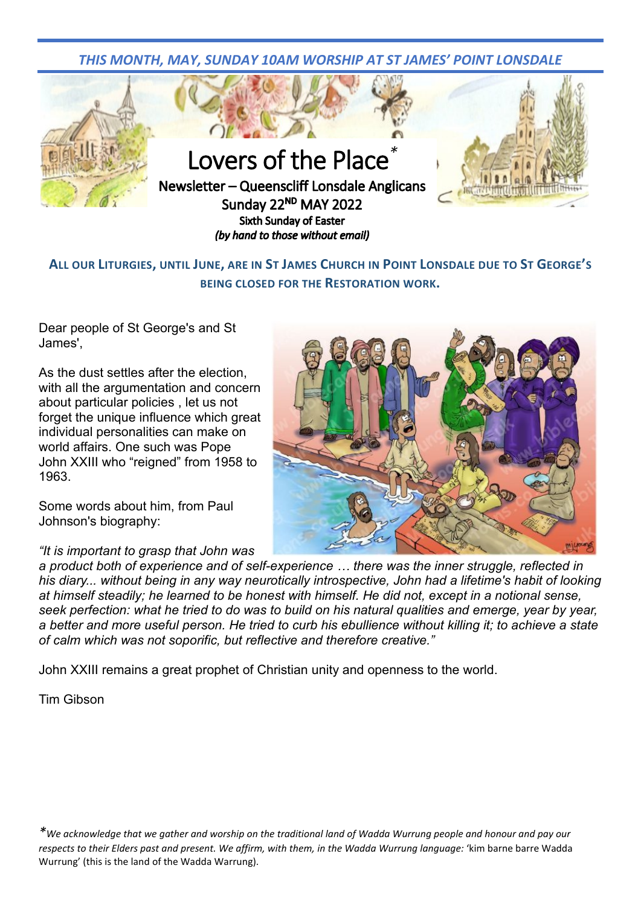*THIS MONTH, MAY, SUNDAY 10AM WORSHIP AT ST JAMES' POINT LONSDALE*



**ALL OUR LITURGIES, UNTIL JUNE, ARE IN ST JAMES CHURCH IN POINT LONSDALE DUE TO ST GEORGE'S BEING CLOSED FOR THE RESTORATION WORK.**

Dear people of St George's and St James',

As the dust settles after the election, with all the argumentation and concern about particular policies , let us not forget the unique influence which great individual personalities can make on world affairs. One such was Pope John XXIII who "reigned" from 1958 to 1963.

Some words about him, from Paul Johnson's biography:

*"It is important to grasp that John was* 



*a product both of experience and of self-experience … there was the inner struggle, reflected in his diary... without being in any way neurotically introspective, John had a lifetime's habit of looking at himself steadily; he learned to be honest with himself. He did not, except in a notional sense, seek perfection: what he tried to do was to build on his natural qualities and emerge, year by year, a better and more useful person. He tried to curb his ebullience without killing it; to achieve a state of calm which was not soporific, but reflective and therefore creative."*

John XXIII remains a great prophet of Christian unity and openness to the world.

Tim Gibson

*\*We acknowledge that we gather and worship on the traditional land of Wadda Wurrung people and honour and pay our*  respects to their Elders past and present. We affirm, with them, in the Wadda Wurrung language: 'kim barne barre Wadda Wurrung' (this is the land of the Wadda Warrung).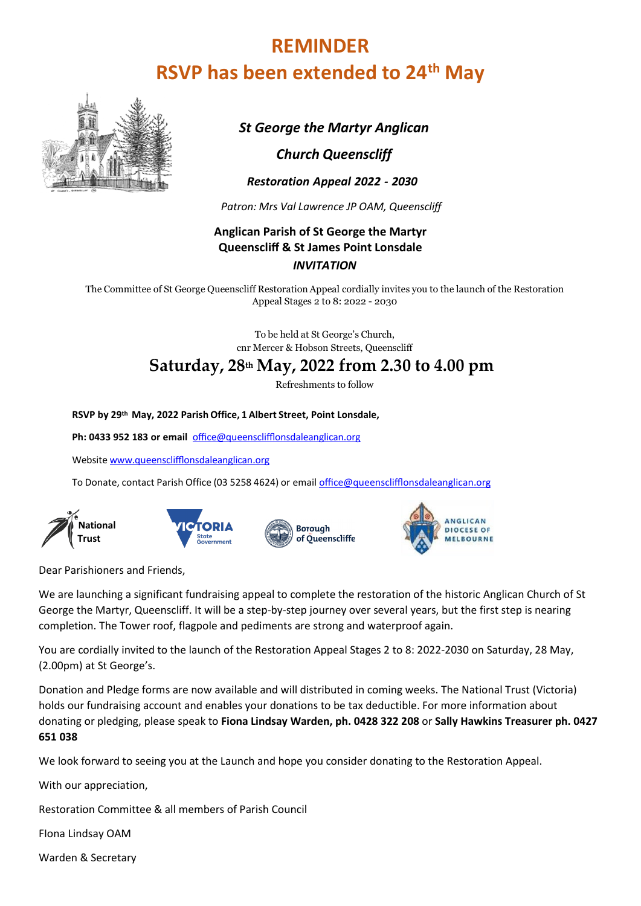# **REMINDER RSVP has been extended to 24th May**



*St George the Martyr Anglican*

### *Church Queenscliff*

 *Restoration Appeal 2022 - 2030*

 *Patron: Mrs Val Lawrence JP OAM, Queenscliff*

### **Anglican Parish of St George the Martyr Queenscliff & St James Point Lonsdale** *INVITATION*

The Committee of St George Queenscliff Restoration Appeal cordially invites you to the launch of the Restoration Appeal Stages 2 to 8: 2022 - 2030

> To be held at St George's Church, cnr Mercer & Hobson Streets, Queenscliff

# **Saturday, 28th May, 2022 from 2.30 to 4.00 pm**

Refreshments to follow

**RSVP by 29th May, 2022 Parish Office, 1 Albert Street, Point Lonsdale,**

**Ph: 0433 952 183 or email** [office@queensclifflonsdaleanglican.org](mailto:o%EF%AC%83ce@queenscli%EF%AC%84onsdaleanglican.org)

Website [www.queensclifflonsdaleanglican](http://www.queensclifflonsdaleanglican.org/).org

To Donate, contact Parish Office (03 5258 4624) or email [office@queensclifflonsdaleanglican.org](mailto:o%EF%AC%83ce@queenscli%EF%AC%84onsdaleanglican.org)









Dear Parishioners and Friends,

We are launching a significant fundraising appeal to complete the restoration of the historic Anglican Church of St George the Martyr, Queenscliff. It will be a step-by-step journey over several years, but the first step is nearing completion. The Tower roof, flagpole and pediments are strong and waterproof again.

You are cordially invited to the launch of the Restoration Appeal Stages 2 to 8: 2022-2030 on Saturday, 28 May, (2.00pm) at St George's.

Donation and Pledge forms are now available and will distributed in coming weeks. The National Trust (Victoria) holds our fundraising account and enables your donations to be tax deductible. For more information about donating or pledging, please speak to **Fiona Lindsay Warden, ph. 0428 322 208** or **Sally Hawkins Treasurer ph. 0427 651 038**

We look forward to seeing you at the Launch and hope you consider donating to the Restoration Appeal.

With our appreciation,

Restoration Committee & all members of Parish Council

FIona Lindsay OAM

Warden & Secretary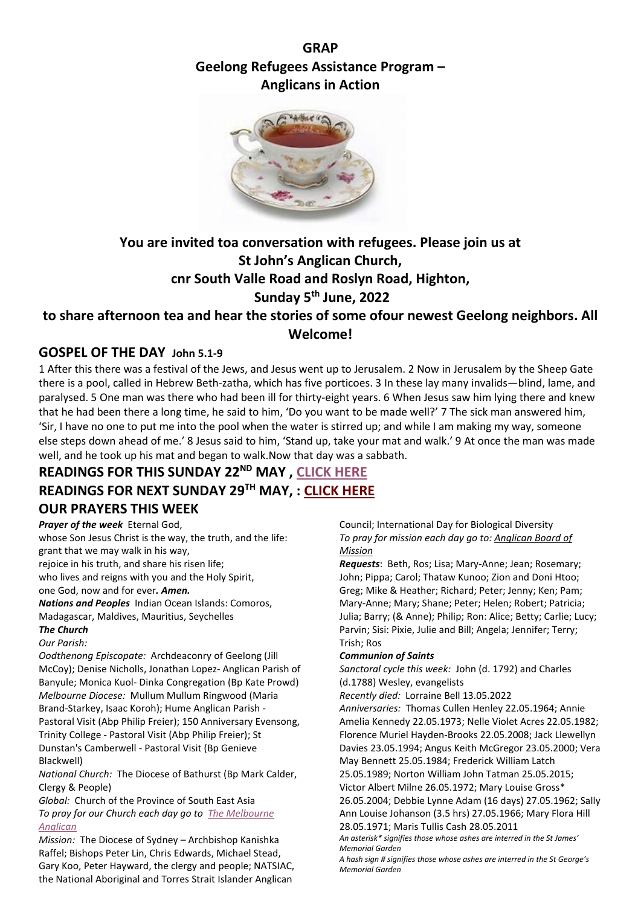# **GRAP Geelong Refugees Assistance Program – Anglicans in Action**



# **You are invited toa conversation with refugees. Please join us at St John's Anglican Church, cnr South Valle Road and Roslyn Road, Highton, Sunday 5th June, 2022**

# **to share afternoon tea and hear the stories of some ofour newest Geelong neighbors. All Welcome!**

## **GOSPEL OF THE DAY John 5.1-9**

1 After this there was a festival of the Jews, and Jesus went up to Jerusalem. 2 Now in Jerusalem by the Sheep Gate there is a pool, called in Hebrew Beth-zatha, which has five porticoes. 3 In these lay many invalids—blind, lame, and paralysed. 5 One man was there who had been ill for thirty-eight years. 6 When Jesus saw him lying there and knew that he had been there a long time, he said to him, 'Do you want to be made well?' 7 The sick man answered him, 'Sir, I have no one to put me into the pool when the water is stirred up; and while I am making my way, someone else steps down ahead of me.' 8 Jesus said to him, 'Stand up, take your mat and walk.' 9 At once the man was made well, and he took up his mat and began to walk.Now that day was a sabbath.

# **READINGS FOR THIS SUNDAY 22ND MAY , [CLICK HERE](https://www.queensclifflonsdaleanglican.org/wp/wp-content/uploads/2022/05/2022-Sunday-22nd-May-2022-2.pdf) READINGS FOR NEXT SUNDAY 29TH MAY, : [CLICK HERE](https://www.queensclifflonsdaleanglican.org/wp/wp-content/uploads/2022/05/2022-Sunday-29th-May-2022-1.pdf) OUR PRAYERS THIS WEEK**

# *Prayer of the week* Eternal God,

whose Son Jesus Christ is the way, the truth, and the life: grant that we may walk in his way, rejoice in his truth, and share his risen life; who lives and reigns with you and the Holy Spirit, one God, now and for ever*. Amen. Nations and Peoples* Indian Ocean Islands: Comoros, Madagascar, Maldives, Mauritius, Seychelles *The Church*

*Our Parish:* 

*Oodthenong Episcopate:* Archdeaconry of Geelong (Jill McCoy); Denise Nicholls, Jonathan Lopez- Anglican Parish of Banyule; Monica Kuol- Dinka Congregation (Bp Kate Prowd) *Melbourne Diocese:* Mullum Mullum Ringwood (Maria Brand-Starkey, Isaac Koroh); Hume Anglican Parish - Pastoral Visit (Abp Philip Freier); 150 Anniversary Evensong, Trinity College - Pastoral Visit (Abp Philip Freier); St Dunstan's Camberwell - Pastoral Visit (Bp Genieve Blackwell)

*National Church:* The Diocese of Bathurst (Bp Mark Calder, Clergy & People)

*Global:* Church of the Province of South East Asia *To pray for our Church each day go to [The Melbourne](https://www.melbourneanglican.org.au/wp-content/uploads/2022/04/May-2022-Prayer-Diary-1.pdf)  [Anglican](https://www.melbourneanglican.org.au/wp-content/uploads/2022/04/May-2022-Prayer-Diary-1.pdf)*

*Mission:* The Diocese of Sydney – Archbishop Kanishka Raffel; Bishops Peter Lin, Chris Edwards, Michael Stead, Gary Koo, Peter Hayward, the clergy and people; NATSIAC, the National Aboriginal and Torres Strait Islander Anglican

Council; International Day for Biological Diversity *To pray for mission each day go to[: Anglican Board of](https://www.abmission.org/wp-content/uploads/2022/04/202205-PPT.pdf)  [Mission](https://www.abmission.org/wp-content/uploads/2022/04/202205-PPT.pdf)*

*Requests*: Beth, Ros; Lisa; Mary-Anne; Jean; Rosemary; John; Pippa; Carol; Thataw Kunoo; Zion and Doni Htoo; Greg; Mike & Heather; Richard; Peter; Jenny; Ken; Pam; Mary-Anne; Mary; Shane; Peter; Helen; Robert; Patricia; Julia; Barry; (& Anne); Philip; Ron: Alice; Betty; Carlie; Lucy; Parvin; Sisi: Pixie, Julie and Bill; Angela; Jennifer; Terry; Trish; Ros

### *Communion of Saints*

*Sanctoral cycle this week:* John (d. 1792) and Charles (d.1788) Wesley, evangelists

*Recently died:* Lorraine Bell 13.05.2022

*Anniversaries:* Thomas Cullen Henley 22.05.1964; Annie Amelia Kennedy 22.05.1973; Nelle Violet Acres 22.05.1982; Florence Muriel Hayden-Brooks 22.05.2008; Jack Llewellyn Davies 23.05.1994; Angus Keith McGregor 23.05.2000; Vera May Bennett 25.05.1984; Frederick William Latch 25.05.1989; Norton William John Tatman 25.05.2015;

Victor Albert Milne 26.05.1972; Mary Louise Gross\*

26.05.2004; Debbie Lynne Adam (16 days) 27.05.1962; Sally Ann Louise Johanson (3.5 hrs) 27.05.1966; Mary Flora Hill 28.05.1971; Maris Tullis Cash 28.05.2011

*An asterisk\* signifies those whose ashes are interred in the St James' Memorial Garden*

*A hash sign # signifies those whose ashes are interred in the St George's Memorial Garden*